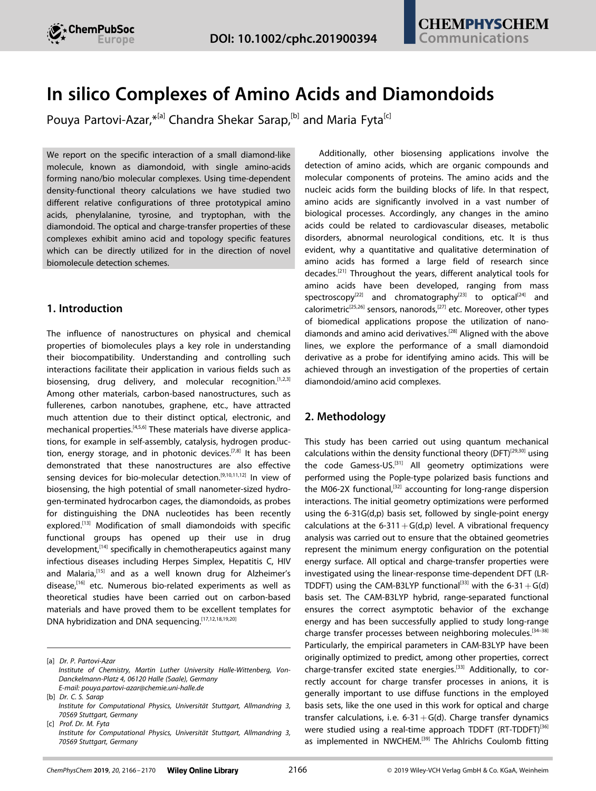

# **In silico Complexes of Amino Acids and Diamondoids**

Pouya [Partovi-Azar](http://orcid.org/0000-0001-5568-1315), <sup>\*[a]</sup> [Chandra](http://orcid.org/0000-0002-8621-6800) Shekar Sarap,<sup>[b]</sup> and [Maria](http://orcid.org/0000-0002-5425-7907) Fyta<sup>[c]</sup>

We report on the specific interaction of a small diamond-like molecule, known as diamondoid, with single amino-acids forming nano/bio molecular complexes. Using time-dependent density-functional theory calculations we have studied two different relative configurations of three prototypical amino acids, phenylalanine, tyrosine, and tryptophan, with the diamondoid. The optical and charge-transfer properties of these complexes exhibit amino acid and topology specific features which can be directly utilized for in the direction of novel biomolecule detection schemes.

### **1. Introduction**

The influence of nanostructures on physical and chemical properties of biomolecules plays a key role in understanding their biocompatibility. Understanding and controlling such interactions facilitate their application in various fields such as biosensing, drug delivery, and molecular recognition.  $[1,2,3]$ Among other materials, carbon-based nanostructures, such as fullerenes, carbon nanotubes, graphene, etc., have attracted much attention due to their distinct optical, electronic, and mechanical properties.<sup>[4,5,6]</sup> These materials have diverse applications, for example in self-assembly, catalysis, hydrogen production, energy storage, and in photonic devices.<sup>[7,8]</sup> It has been demonstrated that these nanostructures are also effective sensing devices for bio-molecular detection.<sup>[9,10,11,12]</sup> In view of biosensing, the high potential of small nanometer-sized hydrogen-terminated hydrocarbon cages, the diamondoids, as probes for distinguishing the DNA nucleotides has been recently explored.<sup>[13]</sup> Modification of small diamondoids with specific functional groups has opened up their use in drug development,<sup>[14]</sup> specifically in chemotherapeutics against many infectious diseases including Herpes Simplex, Hepatitis C, HIV and Malaria,<sup>[15]</sup> and as a well known drug for Alzheimer's disease.<sup>[16]</sup> etc. Numerous bio-related experiments as well as theoretical studies have been carried out on carbon-based materials and have proved them to be excellent templates for DNA hybridization and DNA sequencing.[17,12,18,19,20]

Additionally, other biosensing applications involve the detection of amino acids, which are organic compounds and molecular components of proteins. The amino acids and the nucleic acids form the building blocks of life. In that respect, amino acids are significantly involved in a vast number of biological processes. Accordingly, any changes in the amino acids could be related to cardiovascular diseases, metabolic disorders, abnormal neurological conditions, etc. It is thus evident, why a quantitative and qualitative determination of amino acids has formed a large field of research since decades.[21] Throughout the years, different analytical tools for amino acids have been developed, ranging from mass spectroscopy<sup>[22]</sup> and chromatography<sup>[23]</sup> to optical<sup>[24]</sup> and calorimetric<sup>[25,26]</sup> sensors, nanorods,<sup>[27]</sup> etc. Moreover, other types of biomedical applications propose the utilization of nanodiamonds and amino acid derivatives.<sup>[28]</sup> Aligned with the above lines, we explore the performance of a small diamondoid derivative as a probe for identifying amino acids. This will be achieved through an investigation of the properties of certain diamondoid/amino acid complexes.

## **2. Methodology**

This study has been carried out using quantum mechanical calculations within the density functional theory (DFT)<sup>[29,30]</sup> using the code Gamess-US.<sup>[31]</sup> All geometry optimizations were performed using the Pople-type polarized basis functions and the M06-2X functional, $[32]$  accounting for long-range dispersion interactions. The initial geometry optimizations were performed using the 6-31G(d,p) basis set, followed by single-point energy calculations at the 6-311 +  $G(d,p)$  level. A vibrational frequency analysis was carried out to ensure that the obtained geometries represent the minimum energy configuration on the potential energy surface. All optical and charge-transfer properties were investigated using the linear-response time-dependent DFT (LR-TDDFT) using the CAM-B3LYP functional<sup>[33]</sup> with the 6-31 + G(d) basis set. The CAM-B3LYP hybrid, range-separated functional ensures the correct asymptotic behavior of the exchange energy and has been successfully applied to study long-range charge transfer processes between neighboring molecules.<sup>[34-38]</sup> Particularly, the empirical parameters in CAM-B3LYP have been originally optimized to predict, among other properties, correct charge-transfer excited state energies.<sup>[33]</sup> Additionally, to correctly account for charge transfer processes in anions, it is generally important to use diffuse functions in the employed basis sets, like the one used in this work for optical and charge transfer calculations, i.e.  $6-31+G(d)$ . Charge transfer dynamics were studied using a real-time approach TDDFT (RT-TDDFT)<sup>[36]</sup> as implemented in NWCHEM.<sup>[39]</sup> The Ahlrichs Coulomb fitting

<sup>[</sup>a] *Dr. P. Partovi-Azar*

*Institute of Chemistry, Martin Luther University Halle-Wittenberg, Von-Danckelmann-Platz 4, 06120 Halle (Saale), Germany E-mail: pouya.partovi-azar@chemie.uni-halle.de*

<sup>[</sup>b] *Dr. C. S. Sarap Institute for Computational Physics, Universität Stuttgart, Allmandring 3, 70569 Stuttgart, Germany*

<sup>[</sup>c] *Prof. Dr. M. Fyta Institute for Computational Physics, Universität Stuttgart, Allmandring 3, 70569 Stuttgart, Germany*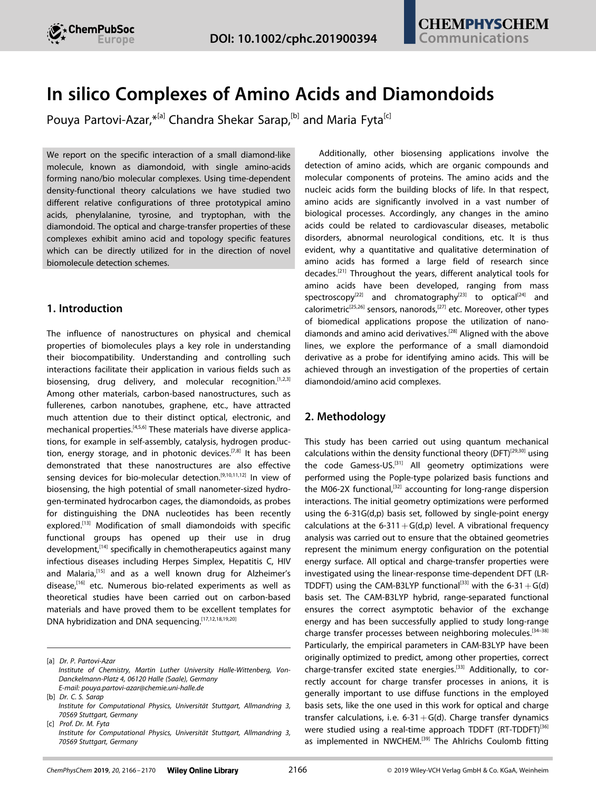

basis set was used in the RT-TDDFT simulations to compute the Coulomb part of the Fock matrix.<sup>[40]</sup> The interaction energy of the nano/bio complexes are calculated through  $E_{int}=$ *E*complex *E*diamondoid *E*amino acid, where *E*complex, *E*diamondoid and *E*amino acid are the energies of the diamondoid/amino acid complex, isolated diamondoid, and isolated amino acids, respectively in their optimized geometries. All energy terms have been corrected for the basis set superposition error.<sup>[41]</sup>

### **3. Results and Discussion**

In this study, we focus on nano/bio complexes made of a small adamantane derivative known as memantine.<sup>[16]</sup> This molecule differs from the native adamantane by an additional amine group. We further functionalize this molecule with a thiol group and use in the following for this the notation 'memS'. The reason behind this is the need of an additional atomic group that would graft the molecule on a carrier. The aim is to find amino acid specificity in the electronic and charge transfer dynamics of these nano/bio complexes. As representative amino acids, we focus on aromatic aminoacids, phenylalanine, tyrosine, and tryptophan. The optimized geometries of these amino acids in gas-phase are depicted in Figure 1 (top panel). For their interaction with the memS nanoparticle, we consider the most stable configurations as representatives in which memS serves as a hydrogen bond donor or acceptor towards the amino acid. These are of course a very small fraction of the possible configurations, serve though as a proof of principle towards our aim.

To obtain the geometries of memS-amino acid complexes, first the three amino acids are each placed at a different orientation with respect to the diamondoid. These correspond



**Figure 1.** Top: Optimized *in vacuo* geometries of isolated aromatic amino acids, phenylalanine, tyrosine and tryptophane. Middle and bottom: optimized geometries of the respective nano/bio complexes, memS-phenylalanine, memS-tyrosine, and memS-tryptophan, in which memS is a hydrogen bond acceptor and donor in the complex, as denoted by the labels. The dotted lines denote the two distinct types of hydrogen bonds, the length of which is also shown in Å. The interaction energies are shown on the bottom of each panel in kcal/mol.

to the memS being either a donor or an acceptor to the respective hydrogen bond. The optimized gas-phase geometries of the corresponding complexes are depicted in Figure 1 (middle and bottom panels). This indeed reveals one or two hydrogen bonds between the nanoparticle and the biomolecule, mostly governed by NH···NH and CH···OH interactions. An energy decomposition analysis of all the configurations clearly shows a large contribution of the dispersion interactions to the total interaction energies of the complexes. In the hydrogen bond donor configurations, the dispersion interactions are slightly larger than the electrostatic and polarization energies. In the hydrogen bond acceptor configurations these are considerably larger. This results in an overall stronger interaction in memS-phenylalanine and memS-tyrosine in the hydrogen bond acceptor configurations. The memS-tryptophan complex is found to be slightly more bound to the memS in the hydrogen bond donor configuration. Inspection of these interaction energies already reveals distinct features depending on the amino acid identity.

The absorption spectra of the isolated amino acids also show very distinct features as evident from Figure 2. These features remain amino acid-specific while showing additional configuration dependence in amino acids-diamondoid complexes. The absorption of the memS-complexes in both configurations are mostly governed by that of the isolated amino acids, emphasizing the minimal effect of the memS probe on the optical properties of the amino acid targets. In the energies below 6 eV, there is a shift observed in the absorption spectrum of the memS-tyrosine compared to the that of the isolated tyrosine. This results in a more profound difference between the optical activity of tyrosine and that of phenylalanine and tryptophan in the energies below 6 eV when using a memS probe. Note that, in this energy range, memS has no contribution and, thereby, the optical activities in this range come solely from tyrosine in the tyrosine-memS complex. The optical activity of tryptophan dominates in the 6–7 eV energy range, but is negligible in 7–8 eV. Although, the optical activity of the isolated phenylalanine and tyrosine are almost indistinguishable in the same energy range, their complexes with memS show different features in the same energy range. The memS-phenylalanine complex reveals an excitation at a  $\sim$  200 meV higher energy ( $\sim$  7.2 eV) compared to the memStyrosine (~7.0 eV), as well as higher oscillator strengths. These findings demonstrate the ability of memS in enhancing the differences in the optical activities of amino acids. Overall, the results clearly show that tryptophan can be detected at lower energies than the other two amino acids. In the lower energy range, no optical activity is observed in the phenylalaninememS complex, whereas there is a rather detectable optical activity in the tyrosine-containing complex in both hydrogen bonded configurations.

The amino acid-specific optical activity in the complex indicates possible differences in the charge-transfer characteristics within the complexes. In order to evaluate this, we follow the time evolution of an additional electron on the memS in the complexes for about 15 fs. The resulting charge dynamics for all H-bond configurations are summarized in Figure 3.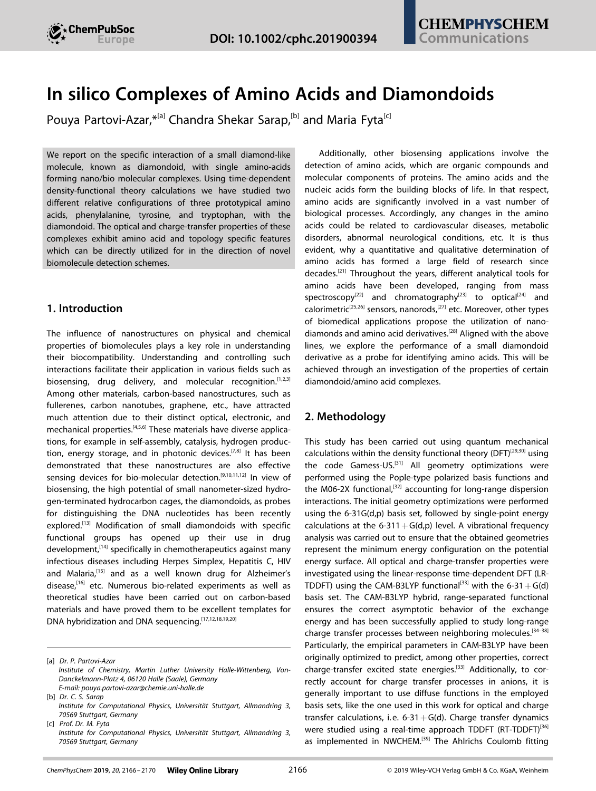



**Figure 2.** Absorption spectra of the isolated diamondoid and amino acids and the memS/amino acid complexes in which memS is a hydrogen bond acceptor and donor, as denoted by the legends "isolated", "Acceptor (complex)", and "Donor (complex)", respectively. The line coloring indicates the different molecules in their isolated form (top) or in the complex (middle, bottom).

Interestingly, distinct configuration-dependent dynamics are observed. For the configuration with the memS being the hydrogen-bond acceptor (upper panel of Figure 3), though the net charge strongly oscillates with periods of  $\sim$  9– $\sim$  14 fs, there is no complete charge transfer from the memS to the amino acid. In the hydrogen-bond donor case (lower panel of Figure 3), a charge transfer is visible for all amino acids. A comparison of the complex geometries in the two H-bond configurations in Figure 1 indicates the importance of the  $NH<sub>2</sub>$ group of the memS in donor configurations in triggering a charge transfer between the probe and the amino acids. A

comparison between memS-tryptophan and the other complexes in the donor configuration shows that the carboxyl group from the amino acid (which connects to C H from the memS via a hydrogen bond) appears to hinder the charge oscillations between the memS and the amino acids. For example, in both memS-tyrosine and memS-phenylalanine complexes in the donor configurations, the charge oscillations seem to occur on a very long time scale compared to the memS-tryptophan. The difference in the charge dynamics between memS-phenylalanine and memS-tyrosine in the donor configurations is related to the high electronegativity of the hydroxyl group connected to the aromatic ring in tyrosine. This appears to act against the flow of the additional electron back to the memS and thus results in a longer charge transfer time scale. The hydroxyl group should also be responsible for a small difference in the charge oscillations in memS-phenylalanine and memS-tyrosine in the acceptor configurations. Based on these observations, one can conclude that the most important role in the charge transfer between the probe and the amino acids is played by the amine group of the memS. This, when acting as a H-bond donor facilitates the charge transfer. The hydroxyl and carboxyl groups seem to have smaller effects on the charge transfer processes and only modify their time scales. As a test case, we have considered the interaction of memS-NH<sub>2</sub> with the carboxylic group of tryptophan. Interestingly, our computations show a reduced time scale charge oscillation along the N···HO bond validating the role of carboxylic group in the charge dynamics time scale.

Overall, based on the amino acid and configuration specificity in the charge dynamics, the memS probe shows a high potential not only in detecting different amino acids, but also revealing their topology with respect to the probe. The typical time scales for the charge transfer processes observed here are comparable to typical N H and C H stretching vibrations, i.e.  $\sim$  10 fs (3000–3500 cm<sup>-1</sup>). In principle, the former vibration at finite temperatures can affect the charge dynamics in both acceptor and donor configurations, while the latter should only affect the donor complexes (see Figure 1). Moreover, the longer charge transfer time scales observed in the phenylalanine- and tyrosine-memS complexes in the donor configurations (lower panel of Figure 3) might be comparable to that of a  $C=O$  stretching vibration, i.e.  $\sim$  20 fs (1700– 1750 cm<sup>-1</sup>). All other vibrations in the complexes have longer time scales and should have a minimal effect on the observed charge dynamics. It can be expected that N H, C H, and  $C=O$ stretching modes modify the zero-temperature charge dynamics observed in this work. However, as discussed above, the CH···COOH part in phenylalanine-memS and tyrosine-memS seem to have only a secondary effect on the occurrence of charge transfer processes. Therefore, among the vibrations mentioned above, only the N H vibration of the amine group, either that of the memS or that of the amino acid can have an effect on the charge dynamics of the memS-amino acid complexes. The N H stretching vibration is common in all complexes with almost the same weight (there is only one amine group in the memS and only one in the amino acids). Accordingly, ultra-fast measurements at finite temperatures are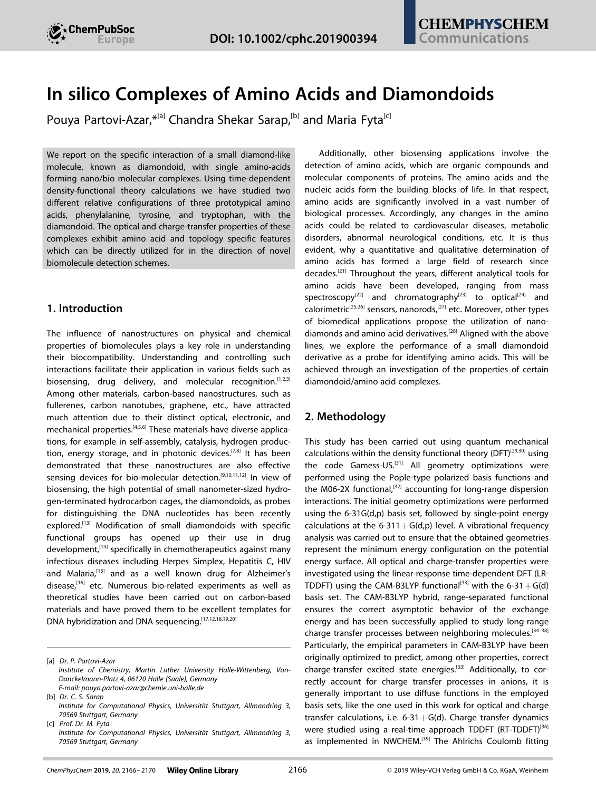



**Figure 3.** Electron transfer dynamics of an additional electron on memS within the complexes. The diamondoid acts as a hydrogen-bond acceptor (top) and donor (bottom) in its complex with an amino acid. The line coloring indicates the different amino acids in the complexes according to the legend.

expected to detect – on average – more transfer of charge from the probe to the amino acids in the donor configurations compared to the acceptor configurations.

### **4. Conclusions**

In summary, we report on novel bio/nano molecular complexes made of a tiny modified diamond-like nanoparticle, memantine-thiol, and an amino acid, such as phenylalanine, tyrosine, and tryptophan. With the aid of *first-principles* density-functional theory calculations, we could unravel the structural, optical, and charge transfer properties of these complexes. The results are discussed for two distinct configurations, in which the probe (memS) acts either as a hydrogen-bond acceptor or a donor. We have found amino acid and configuration dependent characteristics in all cases. The single-molecule properties are enhanced through probing with the diamondoid and allow for a clear distinction of the biomolecule identity and topology with respect to the probe. In this respect, we provide a proofof-principles study on nano/bio complexes in which the nano part acts as a probe for identifying the bio part. At a next step other factors, such as temperature, dynamics, and ionic/solvent effects need to be accounted for. One can expect that such factors would smear out the amino acid specific differences found here. However, it was recently shown that biomolecule specific signals still exist in the presence of a fluidic environment.<sup>[42]</sup> It remains to evaluate these effects also in the case of amino acids. In any case, though the influence of all these other factors is missing, this work contributes new ideas towards utilizing novel nanomaterials for efficient biosensing applications and can initiate further investigations along these directions.

#### *Acknowledgements*

*C.S.S. and M.F. acknowledge financial support from the Juniorprofessorenprogramm funded by the Ministry of Science, Research and the Arts Baden-Württemberg (MWK) and the EXC 310 SimTech Cluster of the University of Stuttgart. This research was supported in part by the bwHPC initiative and the bwHPC-C5 project provided through associated compute services of the JUSTUS HPC facility at the University of Ulm. The bwHPC and bwHPC-C5 (http://www.bwhpc-c5.de) are funded by the Ministry of Science, Research and the Arts Baden-Württemberg (MWK) and the German Research Foundation (DFG). Part of this work was performed on the computational resource ForHLR Phase II funded by the Ministry of Science, Research and the Arts Baden-Württemberg and DFG. P.P. – A acknowledges DFG funding via PA3141/3-1 (Projektnummer 420536636) and Prof. Daniel Sebastiani for support and fruitful discussions.*

### *Conflict of Interest*

The authors declare no conflict of interest.

**Keywords:** amino-acids **·** charge dynamics **·** computational chemistry **·** diamondoids **·** TDDFT

- [1] I. Willner, B. Willner, *Nano Lett.* **2010**, *10*, 3805–3815 pMID: 20843088 (Preprint https://doi.org/10.1021/nl102083j) URL https://doi.org/ 10.1021/nl102083j.
- [2] G. A. Hughes, Nanostructure-mediated drug delivery *Nanomedicine in Cancer* **2017** (Pan Stanford) pp. 47–72.
- [3] G. Wei, P. X. Ma, *Adv. Funct. Mater.* **2008**, *18*, 3568–3582.
- [4] Q. Peng, A.K. Dearden, J. Crean, L. Han, S. Liu, X. Wen, S. De, *Nanotechnology* **2014**, *7*, 1.
- [5] K. Scida, P. W. Stege, G. Haby, G. A. Messina, C. D. García, *Anal. Chim. Acta* **2011**, *691*, 6–17.